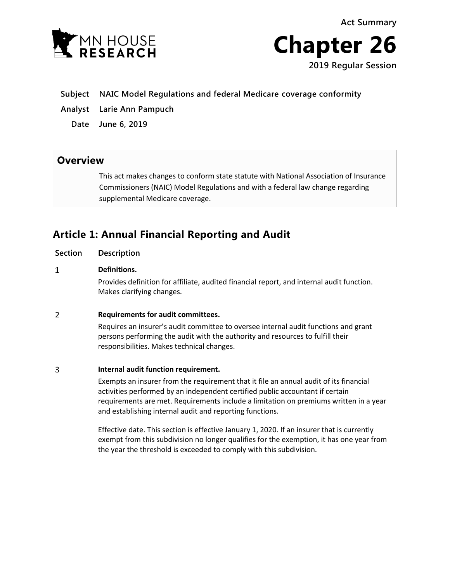**Act Summary**





- **Subject NAIC Model Regulations and federal Medicare coverage conformity**
- **Analyst Larie Ann Pampuch**

**Date June 6, 2019**

### **Overview**

This act makes changes to conform state statute with National Association of Insurance Commissioners (NAIC) Model Regulations and with a federal law change regarding supplemental Medicare coverage.

## **Article 1: Annual Financial Reporting and Audit**

**Section Description**

#### $\mathbf{1}$ **Definitions.**

Provides definition for affiliate, audited financial report, and internal audit function. Makes clarifying changes.

#### $\overline{2}$ **Requirements for audit committees.**

Requires an insurer's audit committee to oversee internal audit functions and grant persons performing the audit with the authority and resources to fulfill their responsibilities. Makes technical changes.

#### 3 **Internal audit function requirement.**

Exempts an insurer from the requirement that it file an annual audit of its financial activities performed by an independent certified public accountant if certain requirements are met. Requirements include a limitation on premiums written in a year and establishing internal audit and reporting functions.

Effective date. This section is effective January 1, 2020. If an insurer that is currently exempt from this subdivision no longer qualifies for the exemption, it has one year from the year the threshold is exceeded to comply with this subdivision.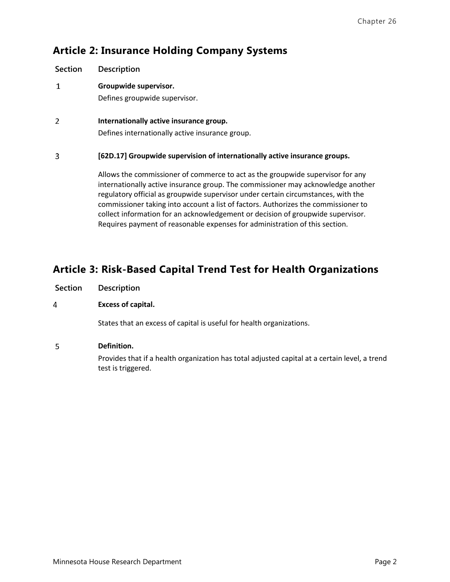# **Article 2: Insurance Holding Company Systems**

**Section Description**  $\mathbf{1}$ **Groupwide supervisor.** Defines groupwide supervisor.  $\overline{2}$ **Internationally active insurance group.** Defines internationally active insurance group. 3 **[62D.17] Groupwide supervision of internationally active insurance groups.** Allows the commissioner of commerce to act as the groupwide supervisor for any internationally active insurance group. The commissioner may acknowledge another

regulatory official as groupwide supervisor under certain circumstances, with the commissioner taking into account a list of factors. Authorizes the commissioner to collect information for an acknowledgement or decision of groupwide supervisor. Requires payment of reasonable expenses for administration of this section.

# **Article 3: Risk-Based Capital Trend Test for Health Organizations**

### $\overline{4}$ **Excess of capital.**

States that an excess of capital is useful for health organizations.

### 5 **Definition.**

Provides that if a health organization has total adjusted capital at a certain level, a trend test is triggered.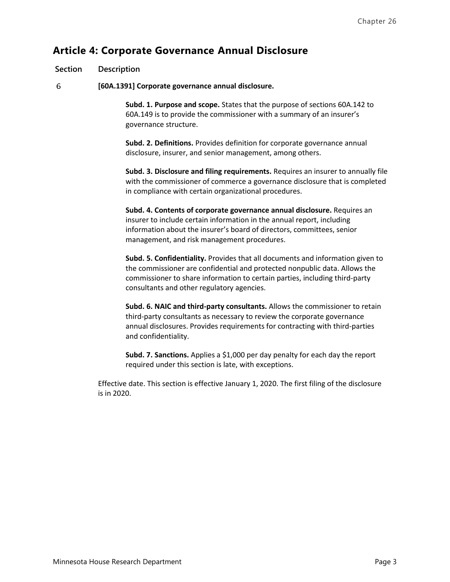## **Article 4: Corporate Governance Annual Disclosure**

### **Section Description**

6 **[60A.1391] Corporate governance annual disclosure.** 

> **Subd. 1. Purpose and scope.** States that the purpose of sections 60A.142 to 60A.149 is to provide the commissioner with a summary of an insurer's governance structure.

**Subd. 2. Definitions.** Provides definition for corporate governance annual disclosure, insurer, and senior management, among others.

**Subd. 3. Disclosure and filing requirements.** Requires an insurer to annually file with the commissioner of commerce a governance disclosure that is completed in compliance with certain organizational procedures.

**Subd. 4. Contents of corporate governance annual disclosure.** Requires an insurer to include certain information in the annual report, including information about the insurer's board of directors, committees, senior management, and risk management procedures.

**Subd. 5. Confidentiality.** Provides that all documents and information given to the commissioner are confidential and protected nonpublic data. Allows the commissioner to share information to certain parties, including third-party consultants and other regulatory agencies.

**Subd. 6. NAIC and third-party consultants.** Allows the commissioner to retain third-party consultants as necessary to review the corporate governance annual disclosures. Provides requirements for contracting with third-parties and confidentiality.

**Subd. 7. Sanctions.** Applies a \$1,000 per day penalty for each day the report required under this section is late, with exceptions.

Effective date. This section is effective January 1, 2020. The first filing of the disclosure is in 2020.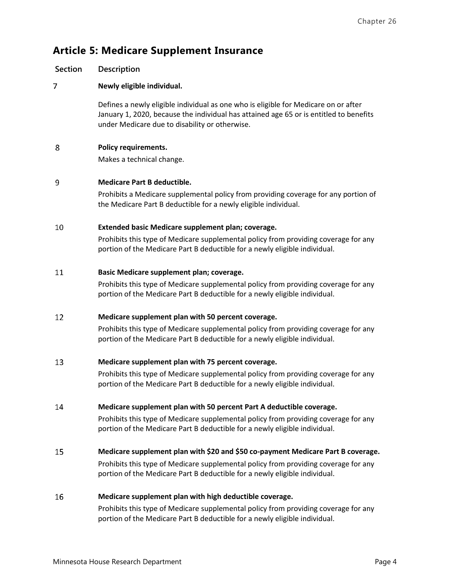# **Article 5: Medicare Supplement Insurance**

| <b>Section</b> | Description                                                                                                                                                                                                                     |
|----------------|---------------------------------------------------------------------------------------------------------------------------------------------------------------------------------------------------------------------------------|
| 7              | Newly eligible individual.                                                                                                                                                                                                      |
|                | Defines a newly eligible individual as one who is eligible for Medicare on or after<br>January 1, 2020, because the individual has attained age 65 or is entitled to benefits<br>under Medicare due to disability or otherwise. |
| 8              | <b>Policy requirements.</b>                                                                                                                                                                                                     |
|                | Makes a technical change.                                                                                                                                                                                                       |
| 9              | <b>Medicare Part B deductible.</b>                                                                                                                                                                                              |
|                | Prohibits a Medicare supplemental policy from providing coverage for any portion of<br>the Medicare Part B deductible for a newly eligible individual.                                                                          |
| 10             | Extended basic Medicare supplement plan; coverage.                                                                                                                                                                              |
|                | Prohibits this type of Medicare supplemental policy from providing coverage for any<br>portion of the Medicare Part B deductible for a newly eligible individual.                                                               |
| 11             | Basic Medicare supplement plan; coverage.                                                                                                                                                                                       |
|                | Prohibits this type of Medicare supplemental policy from providing coverage for any<br>portion of the Medicare Part B deductible for a newly eligible individual.                                                               |
| 12             | Medicare supplement plan with 50 percent coverage.                                                                                                                                                                              |
|                | Prohibits this type of Medicare supplemental policy from providing coverage for any<br>portion of the Medicare Part B deductible for a newly eligible individual.                                                               |
| 13             | Medicare supplement plan with 75 percent coverage.                                                                                                                                                                              |
|                | Prohibits this type of Medicare supplemental policy from providing coverage for any<br>portion of the Medicare Part B deductible for a newly eligible individual.                                                               |
| 14             | Medicare supplement plan with 50 percent Part A deductible coverage.                                                                                                                                                            |
|                | Prohibits this type of Medicare supplemental policy from providing coverage for any<br>portion of the Medicare Part B deductible for a newly eligible individual.                                                               |
| 15             | Medicare supplement plan with \$20 and \$50 co-payment Medicare Part B coverage.                                                                                                                                                |
|                | Prohibits this type of Medicare supplemental policy from providing coverage for any<br>portion of the Medicare Part B deductible for a newly eligible individual.                                                               |

### 16 **Medicare supplement plan with high deductible coverage.**

Prohibits this type of Medicare supplemental policy from providing coverage for any portion of the Medicare Part B deductible for a newly eligible individual.